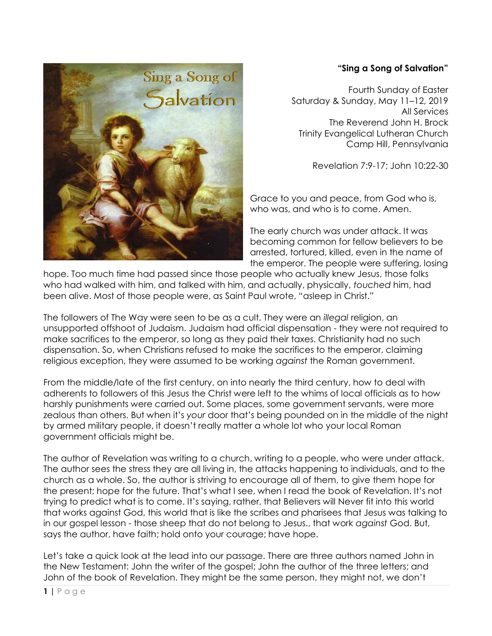## **"Sing a Song of Salvation"**

Fourth Sunday of Easter Saturday & Sunday, May 11–12, 2019 All Services The Reverend John H. Brock Trinity Evangelical Lutheran Church Camp Hill, Pennsylvania

Revelation 7:9-17; John 10:22-30

Grace to you and peace, from God who is, who was, and who is to come. Amen.

The early church was under attack. It was becoming common for fellow believers to be arrested, tortured, killed, even in the name of the emperor. The people were suffering, losing

hope. Too much time had passed since those people who actually knew Jesus, those folks who had walked with him, and talked with him, and actually, physically, *touched* him, had been alive. Most of those people were, as Saint Paul wrote, "asleep in Christ."

The followers of The Way were seen to be as a cult. They were an *illegal* religion, an unsupported offshoot of Judaism. Judaism had official dispensation - they were not required to make sacrifices to the emperor, so long as they paid their taxes. Christianity had no such dispensation. So, when Christians refused to make the sacrifices to the emperor, claiming religious exception, they were assumed to be working *against* the Roman government.

From the middle/late of the first century, on into nearly the third century, how to deal with adherents to followers of this Jesus the Christ were left to the whims of local officials as to how harshly punishments were carried out. Some places, some government servants, were more zealous than others. But when it's *your* door that's being pounded on in the middle of the night by armed military people, it doesn't really matter a whole lot who your local Roman government officials might be.

The author of Revelation was writing to a church, writing to a people, who were under attack. The author sees the stress they are all living in, the attacks happening to individuals, and to the church as a whole. So, the author is striving to encourage all of them, to give them hope for the present; hope for the future. That's what I see, when I read the book of Revelation. It's not trying to predict what is to come. It's saying, rather, that Believers will Never fit into this world that works against God, this world that is like the scribes and pharisees that Jesus was talking to in our gospel lesson - those sheep that do not belong to Jesus., that work *against* God. But, says the author, have faith; hold onto your courage; have hope.

Let's take a quick look at the lead into our passage. There are three authors named John in the New Testament: John the writer of the gospel; John the author of the three letters; and John of the book of Revelation. They might be the same person, they might not, we don't

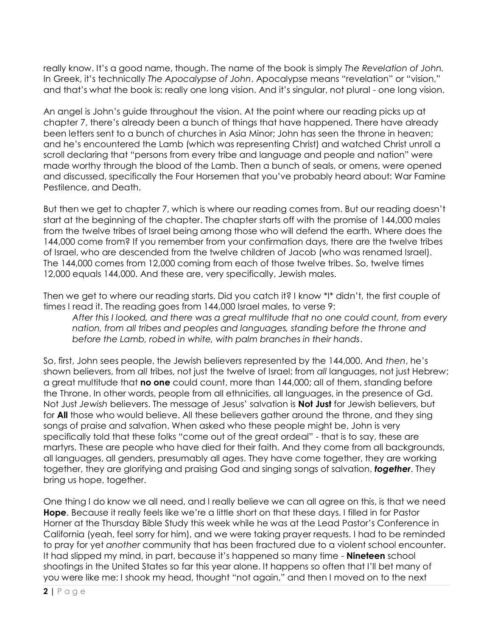really know. It's a good name, though. The name of the book is simply *The Revelation of John.*  In Greek, it's technically *The Apocalypse of John*. Apocalypse means "revelation" or "vision," and that's what the book is: really one long vision. And it's singular, not plural - one long vision.

An angel is John's guide throughout the vision. At the point where our reading picks up at chapter 7, there's already been a bunch of things that have happened. There have already been letters sent to a bunch of churches in Asia Minor; John has seen the throne in heaven; and he's encountered the Lamb (which was representing Christ) and watched Christ unroll a scroll declaring that "persons from every tribe and language and people and nation" were made worthy through the blood of the Lamb. Then a bunch of seals, or omens, were opened and discussed, specifically the Four Horsemen that you've probably heard about: War Famine Pestilence, and Death.

But then we get to chapter 7, which is where our reading comes from. But our reading doesn't start at the beginning of the chapter. The chapter starts off with the promise of 144,000 males from the twelve tribes of Israel being among those who will defend the earth. Where does the 144,000 come from? If you remember from your confirmation days, there are the twelve tribes of Israel, who are descended from the twelve children of Jacob (who was renamed Israel). The 144,000 comes from 12,000 coming from each of those twelve tribes. So, twelve times 12,000 equals 144,000. And these are, very specifically, Jewish males.

Then we get to where our reading starts. Did you catch it? I know \*I\* didn't, the first couple of times I read it. The reading goes from 144,000 Israel males, to verse 9:

*After this I looked, and there was a great multitude that no one could count, from every nation, from all tribes and peoples and languages, standing before the throne and before the Lamb, robed in white, with palm branches in their hands*.

So, first, John sees people, the Jewish believers represented by the 144,000. And *then*, he's shown believers, from *all* tribes, not just the twelve of Israel; from *all* languages, not just Hebrew; a great multitude that **no one** could count, more than 144,000; all of them, standing before the Throne. In other words, people from all ethnicities, all languages, in the presence of Gd. Not Just *Jewish* believers. The message of Jesus' salvation is **Not Just** for Jewish believers, but for **All** those who would believe. All these believers gather around the throne, and they sing songs of praise and salvation. When asked who these people might be, John is very specifically told that these folks "come out of the great ordeal" - that is to say, these are martyrs. These are people who have died for their faith. And they come from all backgrounds, all languages, all genders, presumably all ages. They have come together, they are working together, they are glorifying and praising God and singing songs of salvation, *together*. They bring us hope, together.

One thing I do know we all need, and I really believe we can all agree on this, is that we need **Hope**. Because it really feels like we're a little short on that these days. I filled in for Pastor Horner at the Thursday Bible Study this week while he was at the Lead Pastor's Conference in California (yeah, feel sorry for him), and we were taking prayer requests. I had to be reminded to pray for yet *another* community that has been fractured due to a violent school encounter. It had slipped my mind, in part, because it's happened so many time - **Nineteen** school shootings in the United States so far this year alone. It happens so often that I'll bet many of you were like me: I shook my head, thought "not again," and then I moved on to the next